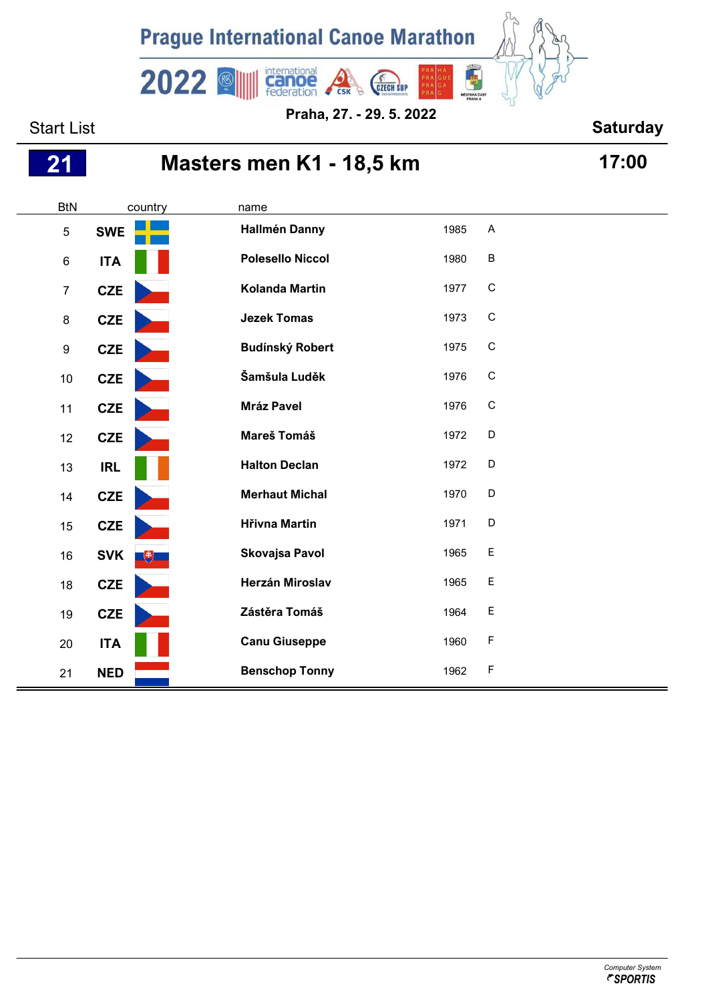

**Praha, 27. - 29. 5. 2022**

## Start List **Start List Start List Start List Saturday**

## **Masters men K1 - 18,5 km 17:00**

| <b>BtN</b>       | country           | name                    |      |              |
|------------------|-------------------|-------------------------|------|--------------|
| $\overline{5}$   | <b>SWE</b>        | <b>Hallmén Danny</b>    | 1985 | A            |
| 6                | <b>ITA</b>        | <b>Polesello Niccol</b> | 1980 | $\sf B$      |
| $\overline{7}$   | <b>CZE</b>        | <b>Kolanda Martin</b>   | 1977 | $\mathsf{C}$ |
| 8                | CZE               | <b>Jezek Tomas</b>      | 1973 | $\mathsf{C}$ |
| $\boldsymbol{9}$ | CZE               | <b>Budínský Robert</b>  | 1975 | $\mathsf C$  |
| 10               | <b>CZE</b>        | Šamšula Luděk           | 1976 | $\mathsf C$  |
| 11               | CZE               | <b>Mráz Pavel</b>       | 1976 | $\mathsf C$  |
| 12               | <b>CZE</b>        | Mareš Tomáš             | 1972 | D            |
| 13               | <b>IRL</b>        | <b>Halton Declan</b>    | 1972 | D            |
| 14               | <b>CZE</b>        | <b>Merhaut Michal</b>   | 1970 | D            |
| 15               | CZE               | <b>Hřivna Martin</b>    | 1971 | D            |
| 16               | <b>SVK</b><br>$+$ | <b>Skovajsa Pavol</b>   | 1965 | $\mathsf E$  |
| 18               | <b>CZE</b>        | <b>Herzán Miroslav</b>  | 1965 | $\mathsf E$  |
| $19$             | CZE               | Zástěra Tomáš           | 1964 | $\mathsf E$  |
| 20               | <b>ITA</b>        | <b>Canu Giuseppe</b>    | 1960 | F            |
| 21               | <b>NED</b>        | <b>Benschop Tonny</b>   | 1962 | F            |